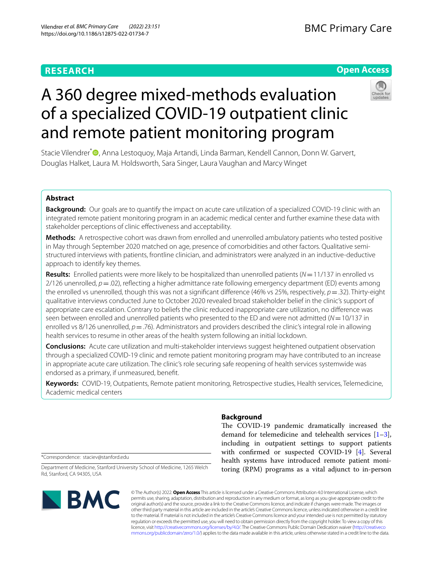## **RESEARCH**

## **Open Access**

# A 360 degree mixed-methods evaluation of a specialized COVID-19 outpatient clinic and remote patient monitoring program

Stacie Vilendrer<sup>\*</sup><sup>®</sup>[,](http://orcid.org/0000-0003-2317-5973) Anna Lestoquoy, Maja Artandi, Linda Barman, Kendell Cannon, Donn W. Garvert, Douglas Halket, Laura M. Holdsworth, Sara Singer, Laura Vaughan and Marcy Winget

## **Abstract**

**Background:** Our goals are to quantify the impact on acute care utilization of a specialized COVID-19 clinic with an integrated remote patient monitoring program in an academic medical center and further examine these data with stakeholder perceptions of clinic efectiveness and acceptability.

**Methods:** A retrospective cohort was drawn from enrolled and unenrolled ambulatory patients who tested positive in May through September 2020 matched on age, presence of comorbidities and other factors. Qualitative semistructured interviews with patients, frontline clinician, and administrators were analyzed in an inductive-deductive approach to identify key themes.

**Results:** Enrolled patients were more likely to be hospitalized than unenrolled patients (*N*=11/137 in enrolled vs 2/126 unenrolled,  $p = 0.02$ ), reflecting a higher admittance rate following emergency department (ED) events among the enrolled vs unenrolled, though this was not a signifcant diference (46% vs 25%, respectively, *p*=.32). Thirty-eight qualitative interviews conducted June to October 2020 revealed broad stakeholder belief in the clinic's support of appropriate care escalation. Contrary to beliefs the clinic reduced inappropriate care utilization, no diference was seen between enrolled and unenrolled patients who presented to the ED and were not admitted (*N*=10/137 in enrolled vs 8/126 unenrolled,  $p = 0.76$ ). Administrators and providers described the clinic's integral role in allowing health services to resume in other areas of the health system following an initial lockdown.

**Conclusions:** Acute care utilization and multi-stakeholder interviews suggest heightened outpatient observation through a specialized COVID-19 clinic and remote patient monitoring program may have contributed to an increase in appropriate acute care utilization. The clinic's role securing safe reopening of health services systemwide was endorsed as a primary, if unmeasured, beneft.

**Keywords:** COVID-19, Outpatients, Remote patient monitoring, Retrospective studies, Health services, Telemedicine, Academic medical centers

## **Background**

The COVID-19 pandemic dramatically increased the demand for telemedicine and telehealth services [\[1](#page-10-0)[–3](#page-10-1)], including in outpatient settings to support patients with confrmed or suspected COVID-19 [[4\]](#page-10-2). Several health systems have introduced remote patient monitoring (RPM) programs as a vital adjunct to in-person

\*Correspondence: staciev@stanford.edu

Department of Medicine, Stanford University School of Medicine, 1265 Welch Rd, Stanford, CA 94305, USA



© The Author(s) 2022. **Open Access** This article is licensed under a Creative Commons Attribution 4.0 International License, which permits use, sharing, adaptation, distribution and reproduction in any medium or format, as long as you give appropriate credit to the original author(s) and the source, provide a link to the Creative Commons licence, and indicate if changes were made. The images or other third party material in this article are included in the article's Creative Commons licence, unless indicated otherwise in a credit line to the material. If material is not included in the article's Creative Commons licence and your intended use is not permitted by statutory regulation or exceeds the permitted use, you will need to obtain permission directly from the copyright holder. To view a copy of this licence, visit [http://creativecommons.org/licenses/by/4.0/.](http://creativecommons.org/licenses/by/4.0/) The Creative Commons Public Domain Dedication waiver ([http://creativeco](http://creativecommons.org/publicdomain/zero/1.0/) [mmons.org/publicdomain/zero/1.0/](http://creativecommons.org/publicdomain/zero/1.0/)) applies to the data made available in this article, unless otherwise stated in a credit line to the data.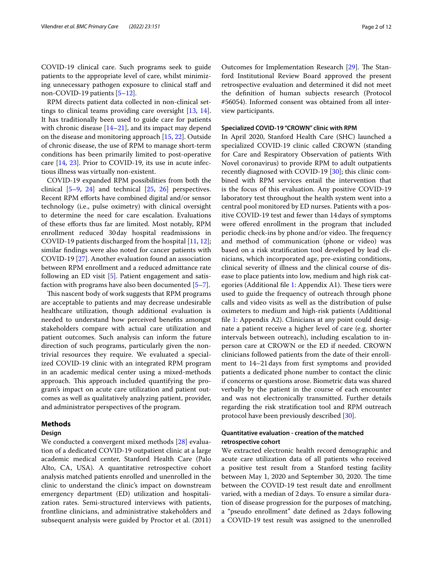COVID-19 clinical care. Such programs seek to guide patients to the appropriate level of care, whilst minimizing unnecessary pathogen exposure to clinical staff and non-COVID-19 patients [\[5](#page-10-3)–[12\]](#page-11-0).

RPM directs patient data collected in non-clinical settings to clinical teams providing care oversight [[13,](#page-11-1) [14](#page-11-2)]. It has traditionally been used to guide care for patients with chronic disease [\[14–](#page-11-2)[21\]](#page-11-3), and its impact may depend on the disease and monitoring approach [\[15,](#page-11-4) [22](#page-11-5)]. Outside of chronic disease, the use of RPM to manage short-term conditions has been primarily limited to post-operative care [\[14](#page-11-2), [23](#page-11-6)]. Prior to COVID-19, its use in acute infectious illness was virtually non-existent.

COVID-19 expanded RPM possibilities from both the clinical [\[5](#page-10-3)[–9](#page-11-7), [24](#page-11-8)] and technical [[25,](#page-11-9) [26](#page-11-10)] perspectives. Recent RPM efforts have combined digital and/or sensor technology (i.e., pulse oximetry) with clinical oversight to determine the need for care escalation. Evaluations of these eforts thus far are limited. Most notably, RPM enrollment reduced 30day hospital readmissions in COVID-19 patients discharged from the hospital [\[11,](#page-11-11) [12](#page-11-0)]; similar fndings were also noted for cancer patients with COVID-19 [[27](#page-11-12)]. Another evaluation found an association between RPM enrollment and a reduced admittance rate following an ED visit [\[5](#page-10-3)]. Patient engagement and satisfaction with programs have also been documented [\[5–](#page-10-3)[7\]](#page-10-4).

This nascent body of work suggests that RPM programs are acceptable to patients and may decrease undesirable healthcare utilization, though additional evaluation is needed to understand how perceived benefts amongst stakeholders compare with actual care utilization and patient outcomes. Such analysis can inform the future direction of such programs, particularly given the nontrivial resources they require. We evaluated a specialized COVID-19 clinic with an integrated RPM program in an academic medical center using a mixed-methods approach. This approach included quantifying the program's impact on acute care utilization and patient outcomes as well as qualitatively analyzing patient, provider, and administrator perspectives of the program.

## **Methods**

## **Design**

We conducted a convergent mixed methods [[28\]](#page-11-13) evaluation of a dedicated COVID-19 outpatient clinic at a large academic medical center, Stanford Health Care (Palo Alto, CA, USA). A quantitative retrospective cohort analysis matched patients enrolled and unenrolled in the clinic to understand the clinic's impact on downstream emergency department (ED) utilization and hospitalization rates. Semi-structured interviews with patients, frontline clinicians, and administrative stakeholders and subsequent analysis were guided by Proctor et al. (2011)

Outcomes for Implementation Research [\[29\]](#page-11-14). The Stanford Institutional Review Board approved the present retrospective evaluation and determined it did not meet the defnition of human subjects research (Protocol #56054). Informed consent was obtained from all interview participants.

## **Specialized COVID‑19 "CROWN" clinic with RPM**

In April 2020, Stanford Health Care (SHC) launched a specialized COVID-19 clinic called CROWN (standing for Care and Respiratory Observation of patients With Novel coronavirus) to provide RPM to adult outpatients recently diagnosed with COVID-19 [[30\]](#page-11-15); this clinic combined with RPM services entail the intervention that is the focus of this evaluation. Any positive COVID-19 laboratory test throughout the health system went into a central pool monitored by ED nurses. Patients with a positive COVID-19 test and fewer than 14days of symptoms were offered enrollment in the program that included periodic check-ins by phone and/or video. The frequency and method of communication (phone or video) was based on a risk stratifcation tool developed by lead clinicians, which incorporated age, pre-existing conditions, clinical severity of illness and the clinical course of disease to place patients into low, medium and high risk cat-egories (Additional file [1](#page-10-5): Appendix A1). These tiers were used to guide the frequency of outreach through phone calls and video visits as well as the distribution of pulse oximeters to medium and high-risk patients (Additional fle [1:](#page-10-5) Appendix A2). Clinicians at any point could designate a patient receive a higher level of care (e.g. shorter intervals between outreach), including escalation to inperson care at CROWN or the ED if needed. CROWN clinicians followed patients from the date of their enrollment to 14–21days from frst symptoms and provided patients a dedicated phone number to contact the clinic if concerns or questions arose. Biometric data was shared verbally by the patient in the course of each encounter and was not electronically transmitted. Further details regarding the risk stratifcation tool and RPM outreach protocol have been previously described [[30](#page-11-15)].

## **Quantitative evaluation ‑ creation of the matched retrospective cohort**

We extracted electronic health record demographic and acute care utilization data of all patients who received a positive test result from a Stanford testing facility between May 1, 2020 and September 30, 2020. The time between the COVID-19 test result date and enrollment varied, with a median of 2days. To ensure a similar duration of disease progression for the purposes of matching, a "pseudo enrollment" date defned as 2days following a COVID-19 test result was assigned to the unenrolled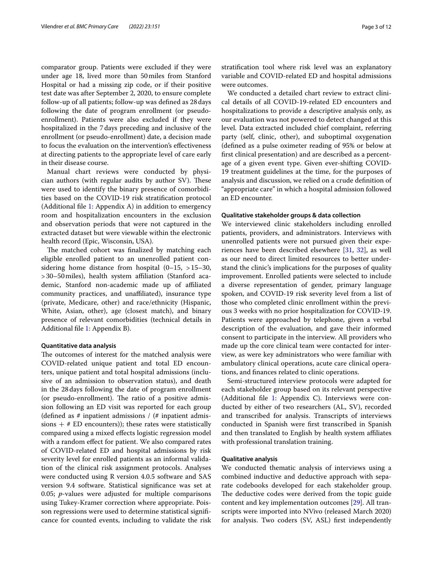comparator group. Patients were excluded if they were under age 18, lived more than 50miles from Stanford Hospital or had a missing zip code, or if their positive test date was after September 2, 2020, to ensure complete follow-up of all patients; follow-up was defned as 28days following the date of program enrollment (or pseudoenrollment). Patients were also excluded if they were hospitalized in the 7days preceding and inclusive of the enrollment (or pseudo-enrollment) date, a decision made to focus the evaluation on the intervention's efectiveness at directing patients to the appropriate level of care early in their disease course.

Manual chart reviews were conducted by physician authors (with regular audits by author SV). These were used to identify the binary presence of comorbidities based on the COVID-19 risk stratifcation protocol (Additional fle [1](#page-10-5): Appendix A) in addition to emergency room and hospitalization encounters in the exclusion and observation periods that were not captured in the extracted dataset but were viewable within the electronic health record (Epic, Wisconsin, USA).

The matched cohort was finalized by matching each eligible enrolled patient to an unenrolled patient considering home distance from hospital  $(0-15, >15-30,$ >30–50miles), health system afliation (Stanford academic, Stanford non-academic made up of afliated community practices, and unafliated), insurance type (private, Medicare, other) and race/ethnicity (Hispanic, White, Asian, other), age (closest match), and binary presence of relevant comorbidities (technical details in Additional fle [1](#page-10-5): Appendix B).

#### **Quantitative data analysis**

The outcomes of interest for the matched analysis were COVID-related unique patient and total ED encounters, unique patient and total hospital admissions (inclusive of an admission to observation status), and death in the 28days following the date of program enrollment (or pseudo-enrollment). The ratio of a positive admission following an ED visit was reported for each group (defined as  $#$  inpatient admissions /  $#$  inpatient admissions  $+$  # ED encounters)); these rates were statistically compared using a mixed efects logistic regression model with a random efect for patient. We also compared rates of COVID-related ED and hospital admissions by risk severity level for enrolled patients as an informal validation of the clinical risk assignment protocols. Analyses were conducted using R version 4.0.5 software and SAS version 9.4 software. Statistical signifcance was set at 0.05; *p*-values were adjusted for multiple comparisons using Tukey-Kramer correction where appropriate. Poisson regressions were used to determine statistical signifcance for counted events, including to validate the risk stratifcation tool where risk level was an explanatory variable and COVID-related ED and hospital admissions were outcomes.

We conducted a detailed chart review to extract clinical details of all COVID-19-related ED encounters and hospitalizations to provide a descriptive analysis only, as our evaluation was not powered to detect changed at this level. Data extracted included chief complaint, referring party (self, clinic, other), and suboptimal oxygenation (defned as a pulse oximeter reading of 95% or below at frst clinical presentation) and are described as a percentage of a given event type. Given ever-shifting COVID-19 treatment guidelines at the time, for the purposes of analysis and discussion, we relied on a crude defnition of "appropriate care" in which a hospital admission followed an ED encounter.

#### **Qualitative stakeholder groups & data collection**

We interviewed clinic stakeholders including enrolled patients, providers, and administrators. Interviews with unenrolled patients were not pursued given their experiences have been described elsewhere [[31,](#page-11-16) [32\]](#page-11-17), as well as our need to direct limited resources to better understand the clinic's implications for the purposes of quality improvement. Enrolled patients were selected to include a diverse representation of gender, primary language spoken, and COVID-19 risk severity level from a list of those who completed clinic enrollment within the previous 3 weeks with no prior hospitalization for COVID-19. Patients were approached by telephone, given a verbal description of the evaluation, and gave their informed consent to participate in the interview. All providers who made up the core clinical team were contacted for interview, as were key administrators who were familiar with ambulatory clinical operations, acute care clinical operations, and fnances related to clinic operations.

Semi-structured interview protocols were adapted for each stakeholder group based on its relevant perspective (Additional fle [1](#page-10-5): Appendix C). Interviews were conducted by either of two researchers (AL, SV), recorded and transcribed for analysis. Transcripts of interviews conducted in Spanish were frst transcribed in Spanish and then translated to English by health system afliates with professional translation training.

## **Qualitative analysis**

We conducted thematic analysis of interviews using a combined inductive and deductive approach with separate codebooks developed for each stakeholder group. The deductive codes were derived from the topic guide content and key implementation outcomes [[29\]](#page-11-14). All transcripts were imported into NVivo (released March 2020) for analysis. Two coders (SV, ASL) frst independently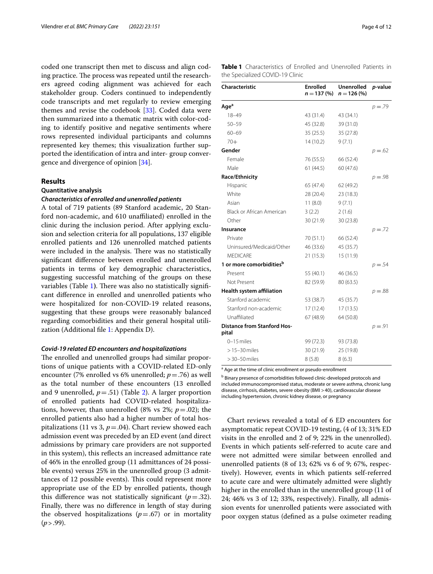coded one transcript then met to discuss and align coding practice. The process was repeated until the researchers agreed coding alignment was achieved for each stakeholder group. Coders continued to independently code transcripts and met regularly to review emerging themes and revise the codebook [\[33\]](#page-11-18). Coded data were then summarized into a thematic matrix with color-coding to identify positive and negative sentiments where rows represented individual participants and columns represented key themes; this visualization further supported the identifcation of intra and inter- group convergence and divergence of opinion [[34\]](#page-11-19).

## **Results**

## **Quantitative analysis**

#### *Characteristics of enrolled and unenrolled patients*

A total of 719 patients (89 Stanford academic, 20 Stanford non-academic, and 610 unafliated) enrolled in the clinic during the inclusion period. After applying exclusion and selection criteria for all populations, 137 eligible enrolled patients and 126 unenrolled matched patients were included in the analysis. There was no statistically signifcant diference between enrolled and unenrolled patients in terms of key demographic characteristics, suggesting successful matching of the groups on these variables (Table [1](#page-3-0)). There was also no statistically significant diference in enrolled and unenrolled patients who were hospitalized for non-COVID-19 related reasons, suggesting that these groups were reasonably balanced regarding comorbidities and their general hospital utilization (Additional fle [1](#page-10-5): Appendix D).

## *Covid‑19 related ED encounters and hospitalizations*

The enrolled and unenrolled groups had similar proportions of unique patients with a COVID-related ED-only encounter (7% enrolled vs 6% unenrolled; *p*=.76) as well as the total number of these encounters (13 enrolled and 9 unenrolled,  $p = .51$ ) (Table [2](#page-4-0)). A larger proportion of enrolled patients had COVID-related hospitalizations, however, than unenrolled (8% vs  $2\%$ ;  $p = .02$ ); the enrolled patients also had a higher number of total hospitalizations (11 vs 3,  $p = .04$ ). Chart review showed each admission event was preceded by an ED event (and direct admissions by primary care providers are not supported in this system), this refects an increased admittance rate of 46% in the enrolled group (11 admittances of 24 possible events) versus 25% in the unenrolled group (3 admittances of 12 possible events). This could represent more appropriate use of the ED by enrolled patients, though this difference was not statistically significant  $(p=.32)$ . Finally, there was no diference in length of stay during the observed hospitalizations  $(p=.67)$  or in mortality (*p*>.99).

<span id="page-3-0"></span>

| <b>Table 1</b> Characteristics of Enrolled and Unenrolled Patients in |  |  |  |
|-----------------------------------------------------------------------|--|--|--|
| the Specialized COVID-19 Clinic                                       |  |  |  |

| <b>Characteristic</b>                       | <b>Enrolled</b><br>$n = 137(%)$ | <b>Unenrolled</b><br>$n = 126$ (%) | p-value    |
|---------------------------------------------|---------------------------------|------------------------------------|------------|
| Age <sup>a</sup>                            |                                 |                                    | $p = 0.79$ |
| $18 - 49$                                   | 43 (31.4)                       | 43 (34.1)                          |            |
| $50 - 59$                                   | 45 (32.8)                       | 39 (31.0)                          |            |
| $60 - 69$                                   | 35(25.5)                        | 35 (27.8)                          |            |
| $70+$                                       | 14(10.2)                        | 9(7.1)                             |            |
| Gender                                      |                                 |                                    | $p = 62$   |
| Female                                      | 76 (55.5)                       | 66 (52.4)                          |            |
| Male                                        | 61(44.5)                        | 60 (47.6)                          |            |
| Race/Ethnicity                              |                                 |                                    | $p = .98$  |
| Hispanic                                    | 65 (47.4)                       | 62 (49.2)                          |            |
| White                                       | 28(20.4)                        | 23 (18.3)                          |            |
| Asian                                       | 11(8.0)                         | 9(7.1)                             |            |
| Black or African American                   | 3(2.2)                          | 2(1.6)                             |            |
| Other                                       | 30(21.9)                        | 30 (23.8)                          |            |
| Insurance                                   |                                 |                                    | $p = 0.72$ |
| Private                                     | 70 (51.1)                       | 66 (52.4)                          |            |
| Uninsured/Medicaid/Other                    | 46 (33.6)                       | 45 (35.7)                          |            |
| <b>MEDICARE</b>                             | 21(15.3)                        | 15 (11.9)                          |            |
| 1 or more comorbidities <sup>b</sup>        |                                 |                                    | $p = 0.54$ |
| Present                                     | 55 (40.1)                       | 46 (36.5)                          |            |
| Not Present                                 | 82 (59.9)                       | 80 (63.5)                          |            |
| <b>Health system affiliation</b>            |                                 |                                    | $p = 0.88$ |
| Stanford academic                           | 53 (38.7)                       | 45 (35.7)                          |            |
| Stanford non-academic                       | 17(12.4)                        | 17(13.5)                           |            |
| Unaffiliated                                | 67 (48.9)                       | 64 (50.8)                          |            |
| <b>Distance from Stanford Hos-</b><br>pital |                                 |                                    | $p = .91$  |
| $0-15$ miles                                | 99 (72.3)                       | 93 (73.8)                          |            |
| $>15-30$ miles                              | 30(21.9)                        | 25 (19.8)                          |            |
| $>$ 30-50 miles                             | 8(5.8)                          | 8(6.3)                             |            |

<sup>a</sup> Age at the time of clinic enrollment or pseudo-enrollment

**b** Binary presence of comorbidities followed clinic-developed protocols and included immunocompromised status, moderate or severe asthma, chronic lung disease, cirrhosis, diabetes, severe obesity (BMI >40), cardiovascular disease including hypertension, chronic kidney disease, or pregnancy

Chart reviews revealed a total of 6 ED encounters for asymptomatic repeat COVID-19 testing, (4 of 13; 31% ED visits in the enrolled and 2 of 9; 22% in the unenrolled). Events in which patients self-referred to acute care and were not admitted were similar between enrolled and unenrolled patients (8 of 13; 62% vs 6 of 9; 67%, respectively). However, events in which patients self-referred to acute care and were ultimately admitted were slightly higher in the enrolled than in the unenrolled group (11 of 24; 46% vs 3 of 12; 33%, respectively). Finally, all admission events for unenrolled patients were associated with poor oxygen status (defned as a pulse oximeter reading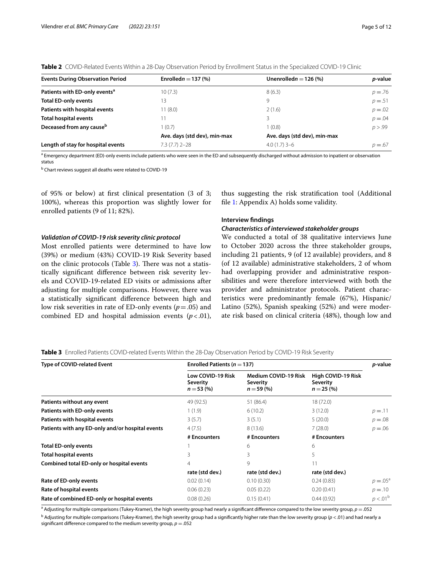<span id="page-4-0"></span>

| <b>Events During Observation Period</b>   | Enrolled $n = 137$ (%)       | Unenrolled $n = 126$ (%)     | p-value    |
|-------------------------------------------|------------------------------|------------------------------|------------|
| Patients with ED-only events <sup>a</sup> | 10(7.3)                      | 8(6.3)                       | $p = 0.76$ |
| <b>Total ED-only events</b>               | 13                           | 9                            | $p = 0.51$ |
| Patients with hospital events             | 11(8.0)                      | 2(1.6)                       | $p = 0.02$ |
| Total hospital events                     |                              | 3                            | $p = 0.04$ |
| Deceased from any cause <sup>b</sup>      | 1(0.7)                       | 1(0.8)                       | p > .99    |
|                                           | Ave. days (std dev), min-max | Ave. days (std dev), min-max |            |
| Length of stay for hospital events        | $7.3(7.7)$ 2-28              | $4.0(1.7)$ 3-6               | $p = .67$  |

<sup>a</sup> Emergency department (ED)-only events include patients who were seen in the ED and subsequently discharged without admission to inpatient or observation status

<sup>b</sup> Chart reviews suggest all deaths were related to COVID-19

of 95% or below) at frst clinical presentation (3 of 3; 100%), whereas this proportion was slightly lower for enrolled patients (9 of 11; 82%).

*Validation of COVID‑19 risk severity clinic protocol*

Most enrolled patients were determined to have low (39%) or medium (43%) COVID-19 Risk Severity based on the clinic protocols (Table  $3$ ). There was not a statistically signifcant diference between risk severity levels and COVID-19-related ED visits or admissions after adjusting for multiple comparisons. However, there was a statistically signifcant diference between high and low risk severities in rate of ED-only events (*p*=.05) and combined ED and hospital admission events  $(p < .01)$ ,

thus suggesting the risk stratifcation tool (Additional fle [1](#page-10-5): Appendix A) holds some validity.

## **Interview fndings**

## *Characteristics of interviewed stakeholder groups*

We conducted a total of 38 qualitative interviews June to October 2020 across the three stakeholder groups, including 21 patients, 9 (of 12 available) providers, and 8 (of 12 available) administrative stakeholders, 2 of whom had overlapping provider and administrative responsibilities and were therefore interviewed with both the provider and administrator protocols. Patient characteristics were predominantly female (67%), Hispanic/ Latino (52%), Spanish speaking (52%) and were moderate risk based on clinical criteria (48%), though low and

<span id="page-4-1"></span>**Table 3** Enrolled Patients COVID-related Events Within the 28-Day Observation Period by COVID-19 Risk Severity

| Type of COVID-related Event                      | Enrolled Patients ( $n = 137$ )              |                                                               |                                                   | <i>p</i> -value   |
|--------------------------------------------------|----------------------------------------------|---------------------------------------------------------------|---------------------------------------------------|-------------------|
|                                                  | Low COVID-19 Risk<br>Severity<br>$n = 53(%)$ | <b>Medium COVID-19 Risk</b><br><b>Severity</b><br>$n = 59(%)$ | High COVID-19 Risk<br>Severity<br>$n = 25 \, (%)$ |                   |
| Patients without any event                       | 49 (92.5)                                    | 51 (86.4)                                                     | 18 (72.0)                                         |                   |
| Patients with ED-only events                     | 1(1.9)                                       | 6(10.2)                                                       | 3(12.0)                                           | $p = 11$          |
| Patients with hospital events                    | 3(5.7)                                       | 3(5.1)                                                        | 5(20.0)                                           | $p = 0.08$        |
| Patients with any ED-only and/or hospital events | 4(7.5)                                       | 8(13.6)                                                       | 7(28.0)                                           | $p = 0.06$        |
|                                                  | # Encounters                                 | # Encounters                                                  | # Encounters                                      |                   |
| <b>Total ED-only events</b>                      |                                              | 6                                                             | 6                                                 |                   |
| <b>Total hospital events</b>                     | 3                                            | 3                                                             | 5.                                                |                   |
| Combined total ED-only or hospital events        | 4                                            | 9                                                             | 11                                                |                   |
|                                                  | rate (std dev.)                              | rate (std dev.)                                               | rate (std dev.)                                   |                   |
| Rate of ED-only events                           | 0.02(0.14)                                   | 0.10(0.30)                                                    | 0.24(0.83)                                        | $p = .05^{\circ}$ |
| Rate of hospital events                          | 0.06(0.23)                                   | 0.05(0.22)                                                    | 0.20(0.41)                                        | $p = .10$         |
| Rate of combined ED-only or hospital events      | 0.08(0.26)                                   | 0.15(0.41)                                                    | 0.44(0.92)                                        | $p < .01^b$       |

<sup>a</sup> Adjusting for multiple comparisons (Tukey-Kramer), the high severity group had nearly a significant difference compared to the low severity group,  $p = .052$ 

b Adjusting for multiple comparisons (Tukey-Kramer), the high severity group had a signifcantly higher rate than the low severity group (*p* <.01) and had nearly a significant difference compared to the medium severity group,  $p = .052$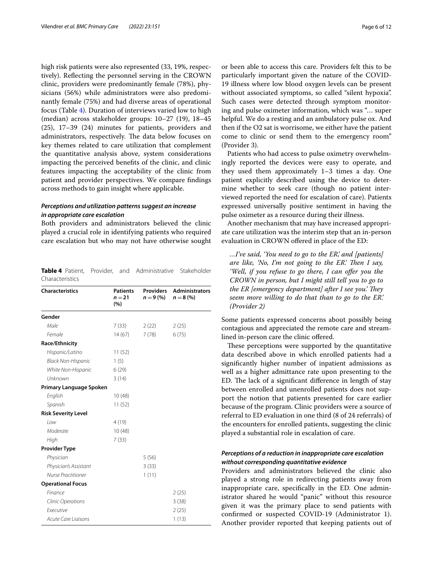high risk patients were also represented (33, 19%, respectively). Refecting the personnel serving in the CROWN clinic, providers were predominantly female (78%), physicians (56%) while administrators were also predominantly female (75%) and had diverse areas of operational focus (Table [4\)](#page-5-0). Duration of interviews varied low to high (median) across stakeholder groups: 10–27 (19), 18–45 (25), 17–39 (24) minutes for patients, providers and administrators, respectively. The data below focuses on key themes related to care utilization that complement the quantitative analysis above, system considerations impacting the perceived benefts of the clinic, and clinic features impacting the acceptability of the clinic from patient and provider perspectives. We compare fndings across methods to gain insight where applicable.

## *Perceptions and utilization patterns suggest an increase in appropriate care escalation*

Both providers and administrators believed the clinic played a crucial role in identifying patients who required care escalation but who may not have otherwise sought

<span id="page-5-0"></span>

|                 |  | <b>Table 4</b> Patient. Provider. and Administrative Stakeholder |  |
|-----------------|--|------------------------------------------------------------------|--|
| Characteristics |  |                                                                  |  |

| <b>Characteristics</b>         | <b>Patients</b><br>$n = 21$<br>(%) | Providers<br>$n = 9(%)$ | <b>Administrators</b><br>$n = 8$ (%) |
|--------------------------------|------------------------------------|-------------------------|--------------------------------------|
| Gender                         |                                    |                         |                                      |
| Male                           | 7(33)                              | 2(22)                   | 2(25)                                |
| Female                         | 14(67)                             | 7(78)                   | 6(75)                                |
| Race/Ethnicity                 |                                    |                         |                                      |
| Hispanic/Latino                | 11(52)                             |                         |                                      |
| <b>Black Non-Hispanic</b>      | 1(5)                               |                         |                                      |
| White Non-Hispanic             | 6(29)                              |                         |                                      |
| Unknown                        | 3(14)                              |                         |                                      |
| Primary Language Spoken        |                                    |                         |                                      |
| English                        | 10(48)                             |                         |                                      |
| Spanish                        | 11(52)                             |                         |                                      |
| <b>Risk Severity Level</b>     |                                    |                         |                                      |
| Iow                            | 4(19)                              |                         |                                      |
| Moderate                       | 10(48)                             |                         |                                      |
| High                           | 7(33)                              |                         |                                      |
| <b>Provider Type</b>           |                                    |                         |                                      |
| Physician                      |                                    | 5(56)                   |                                      |
| Physician's Assistant          |                                    | 3(33)                   |                                      |
| Nurse Practitioner             |                                    | 1(11)                   |                                      |
| <b>Operational Focus</b>       |                                    |                         |                                      |
| Finance                        |                                    |                         | 2(25)                                |
| <b>Clinic Operations</b>       |                                    |                         | 3(38)                                |
| <b><i><u>Fxecutive</u></i></b> |                                    |                         | 2(25)                                |
| <b>Acute Care Liaisons</b>     |                                    |                         | 1(13)                                |

or been able to access this care. Providers felt this to be particularly important given the nature of the COVID-19 illness where low blood oxygen levels can be present without associated symptoms, so called "silent hypoxia". Such cases were detected through symptom monitoring and pulse oximeter information, which was "… super helpful. We do a resting and an ambulatory pulse ox. And then if the O2 sat is worrisome, we either have the patient come to clinic or send them to the emergency room" (Provider 3).

Patients who had access to pulse oximetry overwhelmingly reported the devices were easy to operate, and they used them approximately 1–3 times a day. One patient explicitly described using the device to determine whether to seek care (though no patient interviewed reported the need for escalation of care). Patients expressed universally positive sentiment in having the pulse oximeter as a resource during their illness.

Another mechanism that may have increased appropriate care utilization was the interim step that an in-person evaluation in CROWN ofered in place of the ED:

*…I've said, 'You need to go to the ER,' and [patients] are like, 'No, I'm not going to the ER'. Then I say, 'Well, if you refuse to go there, I can ofer you the CROWN in person, but I might still tell you to go to the ER [emergency department] after I see you.' They seem more willing to do that than to go to the ER.' (Provider 2)*

Some patients expressed concerns about possibly being contagious and appreciated the remote care and streamlined in-person care the clinic ofered.

These perceptions were supported by the quantitative data described above in which enrolled patients had a signifcantly higher number of inpatient admissions as well as a higher admittance rate upon presenting to the ED. The lack of a significant difference in length of stay between enrolled and unenrolled patients does not support the notion that patients presented for care earlier because of the program. Clinic providers were a source of referral to ED evaluation in one third (8 of 24 referrals) of the encounters for enrolled patients, suggesting the clinic played a substantial role in escalation of care.

## *Perceptions of a reduction in inappropriate care escalation without corresponding quantitative evidence*

Providers and administrators believed the clinic also played a strong role in redirecting patients away from inappropriate care, specifcally in the ED. One administrator shared he would "panic" without this resource given it was the primary place to send patients with confrmed or suspected COVID-19 (Administrator 1). Another provider reported that keeping patients out of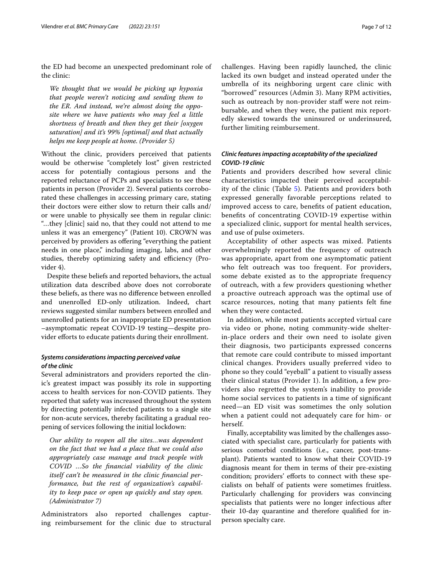the ED had become an unexpected predominant role of the clinic:

*We thought that we would be picking up hypoxia that people weren't noticing and sending them to the ER. And instead, we're almost doing the opposite where we have patients who may feel a little shortness of breath and then they get their [oxygen saturation] and it's 99% [optimal] and that actually helps me keep people at home. (Provider 5)*

Without the clinic, providers perceived that patients would be otherwise "completely lost" given restricted access for potentially contagious persons and the reported reluctance of PCPs and specialists to see these patients in person (Provider 2). Several patients corroborated these challenges in accessing primary care, stating their doctors were either slow to return their calls and/ or were unable to physically see them in regular clinic: "…they [clinic] said no, that they could not attend to me unless it was an emergency" (Patient 10). CROWN was perceived by providers as offering "everything the patient needs in one place," including imaging, labs, and other studies, thereby optimizing safety and efficiency (Provider 4).

Despite these beliefs and reported behaviors, the actual utilization data described above does not corroborate these beliefs, as there was no diference between enrolled and unenrolled ED-only utilization. Indeed, chart reviews suggested similar numbers between enrolled and unenrolled patients for an inappropriate ED presentation –asymptomatic repeat COVID-19 testing—despite provider eforts to educate patients during their enrollment.

## *Systems considerations impacting perceived value of the clinic*

Several administrators and providers reported the clinic's greatest impact was possibly its role in supporting access to health services for non-COVID patients. They reported that safety was increased throughout the system by directing potentially infected patients to a single site for non-acute services, thereby facilitating a gradual reopening of services following the initial lockdown:

*Our ability to reopen all the sites…was dependent on the fact that we had a place that we could also appropriately case manage and track people with COVID …So the fnancial viability of the clinic itself can't be measured in the clinic fnancial performance, but the rest of organization's capability to keep pace or open up quickly and stay open. (Administrator 7)*

Administrators also reported challenges capturing reimbursement for the clinic due to structural challenges. Having been rapidly launched, the clinic lacked its own budget and instead operated under the umbrella of its neighboring urgent care clinic with "borrowed" resources (Admin 3). Many RPM activities, such as outreach by non-provider staff were not reimbursable, and when they were, the patient mix reportedly skewed towards the uninsured or underinsured, further limiting reimbursement.

## *Clinic features impacting acceptability of the specialized COVID‑19 clinic*

Patients and providers described how several clinic characteristics impacted their perceived acceptabil-ity of the clinic (Table [5\)](#page-7-0). Patients and providers both expressed generally favorable perceptions related to improved access to care, benefts of patient education, benefts of concentrating COVID-19 expertise within a specialized clinic, support for mental health services, and use of pulse oximeters.

Acceptability of other aspects was mixed. Patients overwhelmingly reported the frequency of outreach was appropriate, apart from one asymptomatic patient who felt outreach was too frequent. For providers, some debate existed as to the appropriate frequency of outreach, with a few providers questioning whether a proactive outreach approach was the optimal use of scarce resources, noting that many patients felt fne when they were contacted.

In addition, while most patients accepted virtual care via video or phone, noting community-wide shelterin-place orders and their own need to isolate given their diagnosis, two participants expressed concerns that remote care could contribute to missed important clinical changes. Providers usually preferred video to phone so they could "eyeball" a patient to visually assess their clinical status (Provider 1). In addition, a few providers also regretted the system's inability to provide home social services to patients in a time of signifcant need—an ED visit was sometimes the only solution when a patient could not adequately care for him- or herself.

Finally, acceptability was limited by the challenges associated with specialist care, particularly for patients with serious comorbid conditions (i.e., cancer, post-transplant). Patients wanted to know what their COVID-19 diagnosis meant for them in terms of their pre-existing condition; providers' efforts to connect with these specialists on behalf of patients were sometimes fruitless. Particularly challenging for providers was convincing specialists that patients were no longer infectious after their 10-day quarantine and therefore qualifed for inperson specialty care.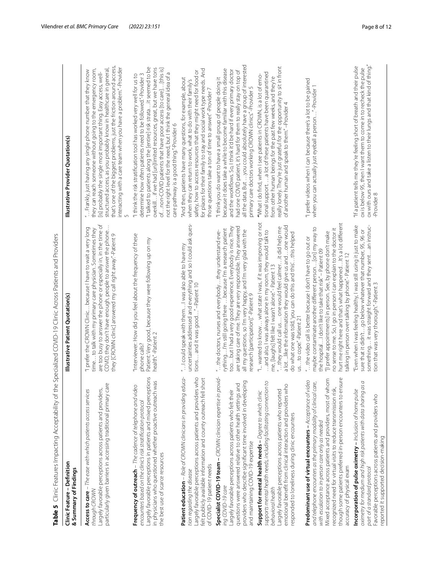<span id="page-7-0"></span>

| ì<br>I<br>Í                                                                                                                          |
|--------------------------------------------------------------------------------------------------------------------------------------|
| ׇֺ֚֡֡<br>.<br>-                                                                                                                      |
|                                                                                                                                      |
| $\ddot{\phantom{0}}$<br>こうこう<br>j                                                                                                    |
| )<br>י<br>ו                                                                                                                          |
| j<br>j                                                                                                                               |
| ֖֖֧֧֧֧֧֧֧֦֧֧֧֧֧֪֧֧֧֧֧֧֧֚֚֚֚֚֚֚֚֚֚֚֚֚֚֚֚֚֚֚֚֚֚֡֝֓֝֓֝֬֝֓֝֬֓֓֝֬֓֝֬֓֝֬֝֬֝֬֝֬֝֬֝֬֝֬֝֬֝֬֝<br>֧֧֪֧֪֧֜֝֬<br>l<br>+ + - - - - - - - - - + + + |
| ؘ<br>ا<br>ֺֺ<br>is 2 2 2                                                                                                             |
| $\overline{a}$<br>ׅ֠                                                                                                                 |
| $\frac{1}{2}$<br>j<br>ׇ֘֒<br>l<br>I                                                                                                  |
| ú<br>ما<br>پ                                                                                                                         |

| Table 5 Clinic Features Impacting Acceptability of the                                                                                                                                                                                                                                                                                                                                                                     | e Specialized COVID-19 Clinic Across Patients and Providers                                                                                                                                                                                                                                                                                                                                                                                          |                                                                                                                                                                                                                                                                                                                                                                                                                                                                            |
|----------------------------------------------------------------------------------------------------------------------------------------------------------------------------------------------------------------------------------------------------------------------------------------------------------------------------------------------------------------------------------------------------------------------------|------------------------------------------------------------------------------------------------------------------------------------------------------------------------------------------------------------------------------------------------------------------------------------------------------------------------------------------------------------------------------------------------------------------------------------------------------|----------------------------------------------------------------------------------------------------------------------------------------------------------------------------------------------------------------------------------------------------------------------------------------------------------------------------------------------------------------------------------------------------------------------------------------------------------------------------|
| Clinic Feature - Definition<br>& Summary of Findings                                                                                                                                                                                                                                                                                                                                                                       | Illustrative Patient Quotation(s)                                                                                                                                                                                                                                                                                                                                                                                                                    | Illustrative Provider Quotation(s)                                                                                                                                                                                                                                                                                                                                                                                                                                         |
| $\omega$<br>particularly given barriers in accessing traditional primary car<br>Largely favorable perceptions across patients and providers,<br>Access to care - The ease with which patients access services<br>through CROWN                                                                                                                                                                                             | are too busy to answer the phone or especially in, in the time of<br>COVID, they don't have enough, people to answer the phone<br>"I prefer the CROWN Clinicbecause I have to wait a very long<br>time to talk with my primary care physician. Sometimes they<br>they [CROWN clinic] answered my call right away." -Patient 9                                                                                                                        | that's one of the biggest problems, just the friction around access,<br>interacting with a care team when you have a problem." -Provider<br>structured access, as you probably know in healthcare in general,<br>they can reach someone without going to the emergency room,<br>" Frankly, just having any single phone number that they know<br>is] probably the single most important thing. Easy access, well-<br>$\sqrt{2}$                                            |
| Largely favorable perceptions in patients and mixed perceptions<br>SP.<br>Frequency of outreach – The cadence of telephone and videc<br>in physicians who questioned whether proactive outreach w<br>encounters based on the clinic's risk stratification protocol<br>the best use of scarce resources                                                                                                                     | "Interviewer: How did you feel about the frequency of these<br>Patient: Very good, because they were following up on my<br>health."-Patient 2<br>phone calls?                                                                                                                                                                                                                                                                                        | "I talked to patients along the [entire] risk strata  it seemed to be<br>overkill if we had [un]limited resources, great, but we have tons<br>of non-COVID patients that have poor access [to care] [this is]<br>not the right level for the need, but I think the general idea of a<br>"I think the risk stratification tool has worked very well for us to<br>determine how often patients need to be followed."-Provider 3<br>care pathway is a good thing."-Provider 6 |
| Patient education - Role of CROWN clinicians in providing educa-<br>Largely favorable perceptions across patients and providers who<br>felt publicly available information and county outreach fell short<br>of COVID-19 patient needs<br>tion regarding the disease                                                                                                                                                       | uncertainties addressed and everything and so I could ask ques-<br>"I could speak with themI was also able to have my<br>tions and it was good"-Patient 10                                                                                                                                                                                                                                                                                           | for places for their family to stay and social work type needs. And<br>safety, how to access resources that they might need for food or<br>'And then, patients have many questions, for example, about<br>when they can return to work, what to do with their family's<br>those questions take a ton of time to answer." -Provider 7                                                                                                                                       |
| Specialist COVID-19 team - CROWN clinician expertise in provid-<br>providers who describe significant time involved in developing<br>questions were answered relative to other health settings and<br>Largely favorable perceptions across patients who felt their<br>and maintaining COVID-19 expertise<br>ing COVID-19 care                                                                                              | are taking care of me. They are very responsible. They answered<br>toobut I had a very good experience. Everybody is nice. They<br>rythingI'm still going there  because I'm a research patient<br>all my questions, so I'm very happy, and I'm very glad with the<br>"the doctors, nurses and everybodythey understand eve-<br>research [participation]."-Patient 9                                                                                 | all the data. But  you could absolutely have a group of interested<br>because it does take a while to become familiar with this disease<br>and the workflows. So, I think it'd be hard if every primary doctor<br>had one COVID patient, it's hard for them to really stay on top of<br>"I think you do want to have a small group of people doing it<br>primary care doctors working CROWN clinics." -Provider 5                                                          |
| supports mental health needs, including facilitating connection to<br>emotional benefit from clinical interaction and providers who<br>Largely favorable perceptions across patients who reported<br>Support for mental health needs - Degree to which clinic<br>responded to loneliness during clinic encounters<br>behavioral health                                                                                     | "I wanted to know what state I was, if it was improving or not<br>a lot. like the information they would give us and  one would<br>"they would call us one would feel calmerit did help me<br>and also, I was always alone in my room, they would talk to<br>do what one was told, you can do this and this'this helped<br>me, [laughs] felt like I wasn't alone." - Patient 13<br>usto cope"-Patient 21                                             | really lonely. They're just grateful for the opportunity to sit in front<br>tional supporta lot of these patients have been quarantined<br>"What I do find, when I see patients in CROWN, is a lot of emo-<br>from other human beings for the past few weeks, and they're<br>of another human and speak to them."-Provider 4                                                                                                                                               |
| though some patients preferred in-person encounters to ensure<br>Mixed acceptance across patients and providers, most of whom<br>99<br>and telephone encounters as the primary modality of clinical care,<br>Predominant use of virtual encounters - Acceptance of vid<br>recognized need for virtual visits to reduce transmission risk,<br>with escalation to in-person care only as needed<br>accuracy of physical exam | hurt me right here and that's what happened It's a lot different<br>maybe contaminate another different person[on] my way to<br>no sense to me. So, I go in person I can explain to the doctor it<br>"I prefer appointments] in person. See, by phone don't make<br>" the video call is better because I don't have to go out or<br>the hospitalI don't like to take that risk" - Patient 09<br>talking in person over talking by phone." Patient 12 | "I prefer videos when I can because there's a lot to be gained<br>when you can actually just eyeball a person"-Provider 1                                                                                                                                                                                                                                                                                                                                                  |
| a<br>oximetry for medium and high risk patients with data sharing as<br>Incorporation of pulse oximetry - Inclusion of home pulse<br>Favorable perceptions across patients and providers who<br>reported it supported decision-making<br>part of a standard protocol                                                                                                                                                       | Even when I was feeling healthy, I was still using it just to make<br>something it was straight forward and they sentan instruc-<br>sure that it didn'tgo below whatever that number, 95, 96 or<br>tion that was very thorough." -Patient 3                                                                                                                                                                                                          | ox with ours and take a listen to their lungs and that kind of thing."<br>"If a patient tells me they're feeling short of breath and their pulse<br>ox is below 95, then I want them to come in to recheck the pulse<br>-Provider 8                                                                                                                                                                                                                                        |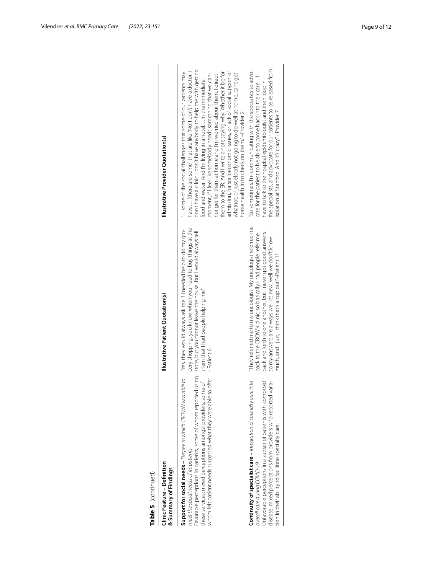| ı |
|---|
|   |
|   |
|   |
|   |
|   |
|   |
|   |
|   |
|   |
|   |
| ٦ |
|   |
| ٦ |
|   |
|   |

| Table 5 (continued)                                                                                                                                                                                                                                                                                                                                                            |                                                                                                                                                                                                                                                                                                                      |                                                                                                                                                                                                                                                                                                                                                                                                                                                                                                                                                                                                                                                                     |  |
|--------------------------------------------------------------------------------------------------------------------------------------------------------------------------------------------------------------------------------------------------------------------------------------------------------------------------------------------------------------------------------|----------------------------------------------------------------------------------------------------------------------------------------------------------------------------------------------------------------------------------------------------------------------------------------------------------------------|---------------------------------------------------------------------------------------------------------------------------------------------------------------------------------------------------------------------------------------------------------------------------------------------------------------------------------------------------------------------------------------------------------------------------------------------------------------------------------------------------------------------------------------------------------------------------------------------------------------------------------------------------------------------|--|
| Clinic Feature - Definition<br>& Summary of Findings                                                                                                                                                                                                                                                                                                                           | Illustrative Patient Quotation(s)                                                                                                                                                                                                                                                                                    | Illustrative Provider Quotation(s)                                                                                                                                                                                                                                                                                                                                                                                                                                                                                                                                                                                                                                  |  |
| Support for social needs – <i>Degree to which CROWN was able to</i> "Yes, they would always ask me if I needed help to do my gro-<br>Favorable perceptions in patients, some of whom reported using<br>these services; mixed perceptions amongst providers, some of<br>whom felt patient needs surpassed what they were able to offer<br>meet the social needs of its patients | cery shopping, you know, when you need to buy things at the<br>store, but you cannot leave the house, but I would always tell<br>them that I had people helping me."<br>-Patient 6                                                                                                                                   | don't have a clinic. I don't have anybody to help me with getting<br>them to the ER. And I write a note saying why. Whether it be for<br>admission, for socioeconomic issues, or lack of social support or<br>some of the social challenges that some of our patients may<br>have [there are some] that are like, 'No, I don't have a doctor. I<br>whatnot, or just elderly not going to do well at home, can't get<br>moment, if I feel like somebody needs something that we can-<br>not get for them at home and I'm worried about them, I direct<br>food and water. And I'm living in a hotel In the immediate<br>home health in to check on them." -Provider 2 |  |
| <b>Continuity of specialist care -</b> Integration of specially care into<br>Unfavorable perceptions in a subset of patients with comorbid<br>disease; mixed perceptions from providers who reported varia-<br>tion in their ability to facilitate specialty care.<br>overall care during COVID-19                                                                             | "They referred me to my oncologist. My oncologist referred me<br>back and forth to one another, but I never got good answers<br>back to the CROWN clinic, so basically I had people refer me<br>so my answers are always well its new, well we don't know<br>much, and I just, I think that's a cop out." -Patient 1 | the specialists, and advocate for our patients to be released from<br>"So sometimes, I'm communicating with the specialists to advo-<br>have to talk to the hospital epidemiologist and then loop in<br>cate for the patient to be able to come back into their care<br>isolation at Stanford. And it's crazy." - Provider 7                                                                                                                                                                                                                                                                                                                                        |  |
|                                                                                                                                                                                                                                                                                                                                                                                |                                                                                                                                                                                                                                                                                                                      |                                                                                                                                                                                                                                                                                                                                                                                                                                                                                                                                                                                                                                                                     |  |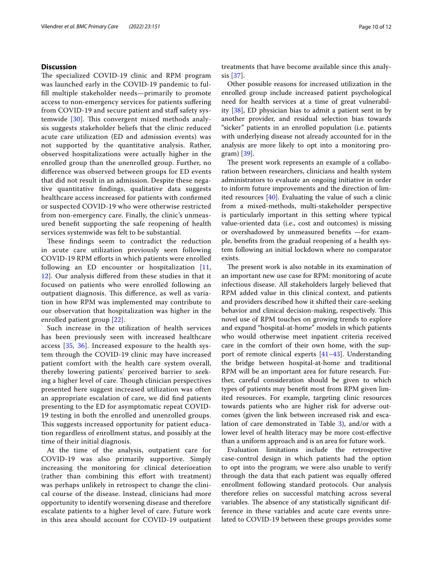## **Discussion**

The specialized COVID-19 clinic and RPM program was launched early in the COVID-19 pandemic to fulfll multiple stakeholder needs—primarily to promote access to non-emergency services for patients sufering from COVID-19 and secure patient and staff safety sys-temwide [\[30](#page-11-15)]. This convergent mixed methods analysis suggests stakeholder beliefs that the clinic reduced acute care utilization (ED and admission events) was not supported by the quantitative analysis. Rather, observed hospitalizations were actually higher in the enrolled group than the unenrolled group. Further, no diference was observed between groups for ED events that did not result in an admission. Despite these negative quantitative fndings, qualitative data suggests healthcare access increased for patients with confrmed or suspected COVID-19 who were otherwise restricted from non-emergency care. Finally, the clinic's unmeasured beneft supporting the safe reopening of health services systemwide was felt to be substantial.

These findings seem to contradict the reduction in acute care utilization previously seen following COVID-19 RPM efforts in which patients were enrolled following an ED encounter or hospitalization [\[11](#page-11-11), [12\]](#page-11-0). Our analysis difered from these studies in that it focused on patients who were enrolled following an outpatient diagnosis. This difference, as well as variation in how RPM was implemented may contribute to our observation that hospitalization was higher in the enrolled patient group [[22\]](#page-11-5).

Such increase in the utilization of health services has been previously seen with increased healthcare access [\[35](#page-11-20), [36\]](#page-11-21). Increased exposure to the health system through the COVID-19 clinic may have increased patient comfort with the health care system overall, thereby lowering patients' perceived barrier to seeking a higher level of care. Though clinician perspectives presented here suggest increased utilization was often an appropriate escalation of care, we did fnd patients presenting to the ED for asymptomatic repeat COVID-19 testing in both the enrolled and unenrolled groups. This suggests increased opportunity for patient education regardless of enrollment status, and possibly at the time of their initial diagnosis.

At the time of the analysis, outpatient care for COVID-19 was also primarily supportive. Simply increasing the monitoring for clinical deterioration (rather than combining this effort with treatment) was perhaps unlikely in retrospect to change the clinical course of the disease. Instead, clinicians had more opportunity to identify worsening disease and therefore escalate patients to a higher level of care. Future work in this area should account for COVID-19 outpatient treatments that have become available since this analysis [\[37](#page-11-22)].

Other possible reasons for increased utilization in the enrolled group include increased patient psychological need for health services at a time of great vulnerability [[38\]](#page-11-23), ED physician bias to admit a patient sent in by another provider, and residual selection bias towards "sicker" patients in an enrolled population (i.e. patients with underlying disease not already accounted for in the analysis are more likely to opt into a monitoring program) [[39\]](#page-11-24).

The present work represents an example of a collaboration between researchers, clinicians and health system administrators to evaluate an ongoing initiative in order to inform future improvements and the direction of limited resources [\[40](#page-11-25)]. Evaluating the value of such a clinic from a mixed-methods, multi-stakeholder perspective is particularly important in this setting where typical value-oriented data (i.e., cost and outcomes) is missing or overshadowed by unmeasured benefts —for example, benefts from the gradual reopening of a health system following an initial lockdown where no comparator exists.

The present work is also notable in its examination of an important new use case for RPM: monitoring of acute infectious disease. All stakeholders largely believed that RPM added value in this clinical context, and patients and providers described how it shifted their care-seeking behavior and clinical decision-making, respectively. This novel use of RPM touches on growing trends to explore and expand "hospital-at-home" models in which patients who would otherwise meet inpatient criteria received care in the comfort of their own home, with the support of remote clinical experts [\[41](#page-11-26)[–43\]](#page-11-27). Understanding the bridge between hospital-at-home and traditional RPM will be an important area for future research. Further, careful consideration should be given to which types of patients may beneft most from RPM given limited resources. For example, targeting clinic resources towards patients who are higher risk for adverse outcomes (given the link between increased risk and escalation of care demonstrated in Table  $3$ ), and/or with a lower level of health literacy may be more cost-efective than a uniform approach and is an area for future work.

Evaluation limitations include the retrospective case-control design in which patients had the option to opt into the program; we were also unable to verify through the data that each patient was equally offered enrollment following standard protocols. Our analysis therefore relies on successful matching across several variables. The absence of any statistically significant difference in these variables and acute care events unrelated to COVID-19 between these groups provides some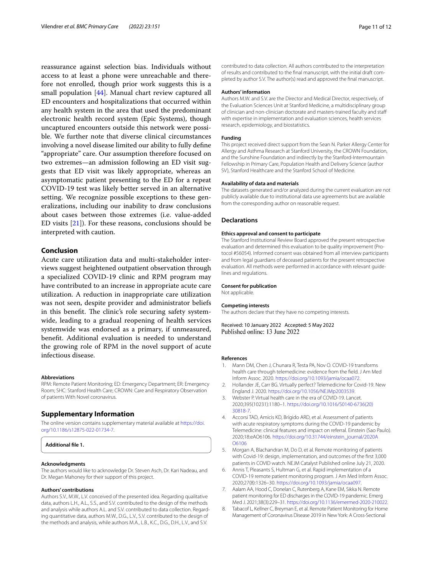reassurance against selection bias. Individuals without access to at least a phone were unreachable and therefore not enrolled, though prior work suggests this is a small population [[44\]](#page-11-28). Manual chart review captured all ED encounters and hospitalizations that occurred within any health system in the area that used the predominant electronic health record system (Epic Systems), though uncaptured encounters outside this network were possible. We further note that diverse clinical circumstances involving a novel disease limited our ability to fully defne "appropriate" care. Our assumption therefore focused on two extremes—an admission following an ED visit suggests that ED visit was likely appropriate, whereas an asymptomatic patient presenting to the ED for a repeat COVID-19 test was likely better served in an alternative setting. We recognize possible exceptions to these generalizations, including our inability to draw conclusions about cases between those extremes (i.e. value-added ED visits [[21\]](#page-11-3)). For these reasons, conclusions should be interpreted with caution.

## **Conclusion**

Acute care utilization data and multi-stakeholder interviews suggest heightened outpatient observation through a specialized COVID-19 clinic and RPM program may have contributed to an increase in appropriate acute care utilization. A reduction in inappropriate care utilization was not seen, despite provider and administrator beliefs in this benefit. The clinic's role securing safety systemwide, leading to a gradual reopening of health services systemwide was endorsed as a primary, if unmeasured, beneft. Additional evaluation is needed to understand the growing role of RPM in the novel support of acute infectious disease.

#### **Abbreviations**

RPM: Remote Patient Monitoring; ED: Emergency Department; ER: Emergency Room; SHC: Stanford Health Care; CROWN: Care and Respiratory Observation of patients With Novel coronavirus.

## **Supplementary Information**

The online version contains supplementary material available at [https://doi.](https://doi.org/10.1186/s12875-022-01734-7) [org/10.1186/s12875-022-01734-7](https://doi.org/10.1186/s12875-022-01734-7).

```
Additional fle 1.
```
#### **Acknowledgments**

The authors would like to acknowledge Dr. Steven Asch, Dr. Kari Nadeau, and Dr. Megan Mahoney for their support of this project.

#### **Authors' contributions**

Authors S.V., M.W., L.V. conceived of the presented idea. Regarding qualitative data, authors L.H., A.L., S.S., and S.V. contributed to the design of the methods and analysis while authors A.L. and S.V. contributed to data collection. Regarding quantitative data, authors M.W., D.G., L.V., S.V. contributed to the design of the methods and analysis, while authors M.A., L.B., K.C., D.G., D.H., L.V., and S.V.

contributed to data collection. All authors contributed to the interpretation of results and contributed to the fnal manuscript, with the initial draft completed by author S.V. The author(s) read and approved the fnal manuscript.

#### **Authors' information**

Authors M.W. and S.V. are the Director and Medical Director, respectively, of the Evaluation Sciences Unit at Stanford Medicine, a multidisciplinary group of clinician and non-clinician doctorate and masters-trained faculty and staf with expertise in implementation and evaluation sciences, health services research, epidemiology, and biostatistics.

#### **Funding**

This project received direct support from the Sean N. Parker Allergy Center for Allergy and Asthma Research at Stanford University, the CROWN Foundation, and the Sunshine Foundation and indirectly by the Stanford-Intermountain Fellowship in Primary Care, Population Health and Delivery Science (author SV), Stanford Healthcare and the Stanford School of Medicine.

#### **Availability of data and materials**

The datasets generated and/or analyzed during the current evaluation are not publicly available due to institutional data use agreements but are available from the corresponding author on reasonable request.

#### **Declarations**

#### **Ethics approval and consent to participate**

The Stanford Institutional Review Board approved the present retrospective evaluation and determined this evaluation to be quality improvement (Protocol #56054). Informed consent was obtained from all interview participants and from legal guardians of deceased patients for the present retrospective evaluation. All methods were performed in accordance with relevant guidelines and regulations.

#### **Consent for publication**

Not applicable.

#### **Competing interests**

The authors declare that they have no competing interests.

Received: 10 January 2022 Accepted: 5 May 2022 Published online: 13 June 2022

#### **References**

- <span id="page-10-0"></span>Mann DM, Chen J, Chunara R, Testa PA, Nov O. COVID-19 transforms health care through telemedicine: evidence from the feld. J Am Med Inform Assoc. 2020. [https://doi.org/10.1093/jamia/ocaa072.](https://doi.org/10.1093/jamia/ocaa072)
- 2. Hollander JE, Carr BG. Virtually perfect? Telemedicine for Covid-19. New England J. 2020. [https://doi.org/10.1056/NEJMp2003539.](https://doi.org/10.1056/NEJMp2003539)
- <span id="page-10-1"></span>3. Webster P. Virtual health care in the era of COVID-19. Lancet. 2020;395(10231):1180–1. [https://doi.org/10.1016/S0140-6736\(20\)](https://doi.org/10.1016/S0140-6736(20)30818-7) [30818-7.](https://doi.org/10.1016/S0140-6736(20)30818-7)
- <span id="page-10-2"></span>4. Accorsi TAD, Amicis KD, Brígido ARD, et al. Assessment of patients with acute respiratory symptoms during the COVID-19 pandemic by Telemedicine: clinical features and impact on referral. Einstein (Sao Paulo). 2020;18:eAO6106. [https://doi.org/10.31744/einstein\\_journal/2020A](https://doi.org/10.31744/einstein_journal/2020AO6106) [O6106](https://doi.org/10.31744/einstein_journal/2020AO6106)
- <span id="page-10-3"></span>5. Morgan A, Blachandran M, Do D, et al. Remote monitoring of patients with Covid-19: design, implementation, and outcomes of the frst 3,000 patients in COVID watch. NEJM Catalyst Published online July 21, 2020.
- 6. Annis T, Pleasants S, Hultman G, et al. Rapid implementation of a COVID-19 remote patient monitoring program. J Am Med Inform Assoc. 2020;27(8):1326–30. <https://doi.org/10.1093/jamia/ocaa097>.
- <span id="page-10-4"></span>Aalam AA, Hood C, Donelan C, Rutenberg A, Kane EM, Sikka N. Remote patient monitoring for ED discharges in the COVID-19 pandemic. Emerg Med J. 2021;38(3):229–31. [https://doi.org/10.1136/emermed-2020-210022.](https://doi.org/10.1136/emermed-2020-210022)
- 8. Tabacof L, Kellner C, Breyman E, et al. Remote Patient Monitoring for Home Management of Coronavirus Disease 2019 in New York: A Cross-Sectional